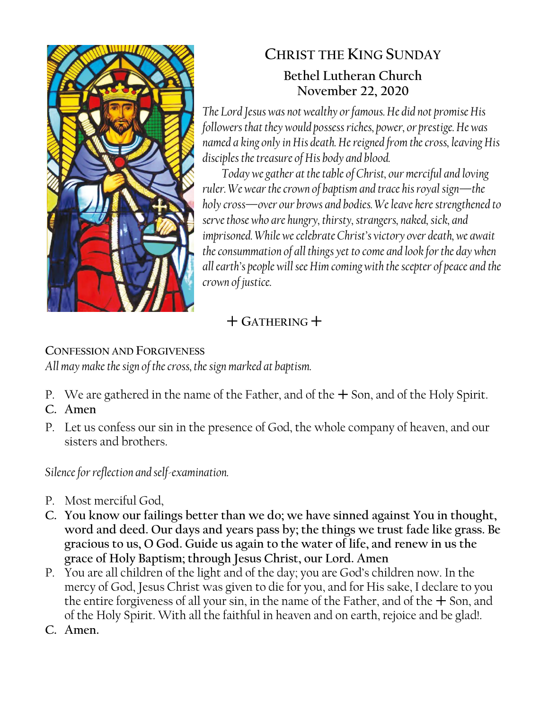

# **CHRIST THE KING SUNDAY Bethel Lutheran Church November 22, 2020**

*The Lord Jesus was not wealthy or famous. He did not promise His followers that they would possess riches, power, or prestige. He was named a king only in His death. He reigned from the cross, leaving His disciples the treasure of His body and blood.*

*Today we gather at the table of Christ, our merciful and loving ruler. We wear the crown of baptism and trace his royal sign—the holy cross—over our brows and bodies. We leave here strengthened to serve those who are hungry, thirsty, strangers, naked, sick, and imprisoned. While we celebrate Christ's victory over death, we await the consummation of all things yet to come and look for the day when all earth's people will see Him coming with thescepter of peace and the crown of justice.*

# $+$  GATHERING  $+$

# **CONFESSION AND FORGIVENESS**

*All may make the sign of the cross, the sign marked at baptism.*

- P. We are gathered in the name of the Father, and of the  $+$  Son, and of the Holy Spirit.
- **C. Amen**
- P. Let us confess our sin in the presence of God, the whole company of heaven, and our sisters and brothers.

*Silence for reflection and self-examination.*

- P. Most merciful God,
- **C. You know our failings better than we do; we have sinned against You in thought, word and deed. Our days and years pass by; the things we trust fade like grass. Be gracious to us, O God. Guide us again to the water of life, and renew in us the grace of Holy Baptism; through Jesus Christ, our Lord. Amen**
- P. You are all children of the light and of the day; you are God's children now. In the mercy of God, Jesus Christ was given to die for you, and for His sake, I declare to you the entire forgiveness of all your sin, in the name of the Father, and of the  $+$  Son, and of the Holy Spirit. With all the faithful in heaven and on earth, rejoice and be glad!.
- **C. Amen.**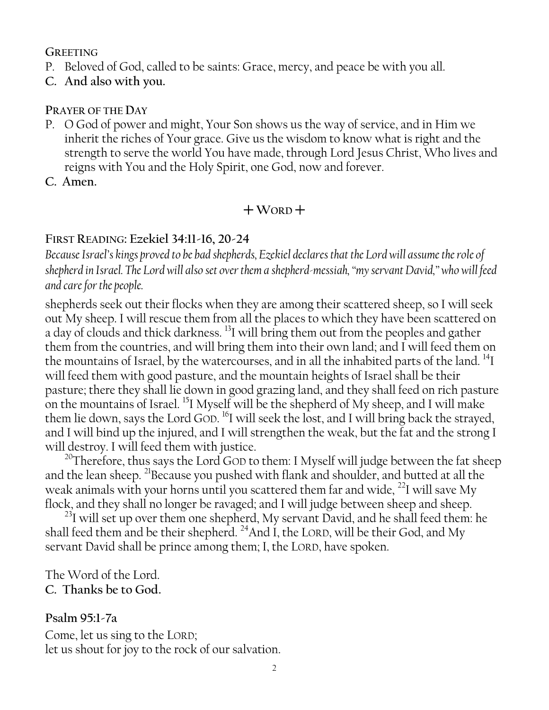#### **GREETING**

- P. Beloved of God, called to be saints: Grace, mercy, and peace be with you all.
- **C. And also with you.**

#### **PRAYER OF THE DAY**

- P. O God of power and might, Your Son shows us the way of service, and in Him we inherit the riches of Your grace. Give us the wisdom to know what is right and the strength to serve the world You have made, through Lord Jesus Christ, Who lives and reigns with You and the Holy Spirit, one God, now and forever.
- **C. Amen.**

# $+$ WORD<sup> $+$ </sup>

### **FIRST READING: Ezekiel 34:11-16, 20-24**

*Because Israel's kings proved to be bad shepherds, Ezekiel declares that the Lord will assume the role of shepherd in Israel. The Lord will also set over them a shepherd-messiah, "my servant David," who will feed and care for the people.*

shepherds seek out their flocks when they are among their scattered sheep, so I will seek out My sheep. I will rescue them from all the places to which they have been scattered on a day of clouds and thick darkness. <sup>13</sup>I will bring them out from the peoples and gather them from the countries, and will bring them into their own land; and I will feed them on the mountains of Israel, by the watercourses, and in all the inhabited parts of the land. <sup>14</sup>I will feed them with good pasture, and the mountain heights of Israel shall be their pasture; there they shall lie down in good grazing land, and they shall feed on rich pasture on the mountains of Israel. <sup>15</sup>I Myself will be the shepherd of My sheep, and I will make them lie down, says the Lord GOD.  $^{16}$ I will seek the lost, and I will bring back the strayed, and I will bind up the injured, and I will strengthen the weak, but the fat and the strong I will destroy. I will feed them with justice.

<sup>20</sup>Therefore, thus says the Lord GOD to them: I Myself will judge between the fat sheep and the lean sheep. <sup>21</sup>Because you pushed with flank and shoulder, and butted at all the weak animals with your horns until you scattered them far and wide,  $^{22}$ I will save My flock, and they shall no longer be ravaged; and I will judge between sheep and sheep.

 $^{23}$ I will set up over them one shepherd, My servant David, and he shall feed them: he shall feed them and be their shepherd.  $^{24}$ And I, the LORD, will be their God, and My servant David shall be prince among them; I, the LORD, have spoken.

The Word of the Lord. **C. Thanks be to God.**

#### **Psalm 95:1-7a**

Come, let us sing to the LORD; let us shout for joy to the rock of our salvation.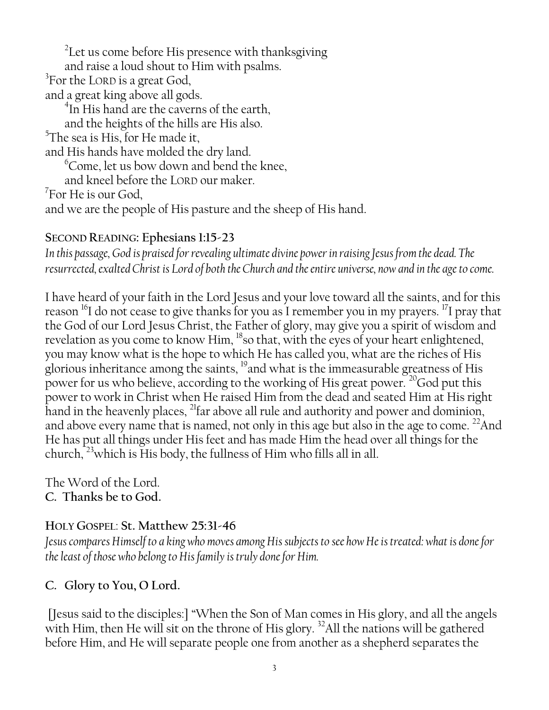$^2$ Let us come before His presence with thanksgiving and raise a loud shout to Him with psalms.  ${}^{3}$ For the LORD is a great God, and a great king above all gods. 4 In His hand are the caverns of the earth, and the heights of the hills are His also.  $5$ The sea is His, for He made it, and His hands have molded the dry land.  $\degree$ Come, let us bow down and bend the knee, and kneel before the LORD our maker. 7 For He is our God, and we are the people of His pasture and the sheep of His hand.

## **SECOND READING: Ephesians 1:15-23**

*In this passage, God is praised for revealing ultimate divine power in raising Jesus from the dead. The resurrected, exalted Christ is Lord of both the Church and the entire universe, now and in the age to come.*

I have heard of your faith in the Lord Jesus and your love toward all the saints, and for this reason <sup>16</sup>I do not cease to give thanks for you as I remember you in my prayers. <sup>17</sup>I pray that the God of our Lord Jesus Christ, the Father of glory, may give you a spirit of wisdom and revelation as you come to know Him, <sup>18</sup>so that, with the eyes of your heart enlightened, you may know what is the hope to which He has called you, what are the riches of His glorious inheritance among the saints, <sup>19</sup>and what is the immeasurable greatness of His power for us who believe, according to the working of His great power. <sup>20</sup>God put this power to work in Christ when He raised Him from the dead and seated Him at His right hand in the heavenly places,  $^{21}$ far above all rule and authority and power and dominion, and above every name that is named, not only in this age but also in the age to come.  $^{22}$ And He has put all things under His feet and has made Him the head over all things for the church, <sup>23</sup>which is His body, the fullness of Him who fills all in all.

The Word of the Lord. **C. Thanks be to God.**

### **HOLY GOSPEL**: **St. Matthew 25:31-46**

*Jesus compares Himself to a king who moves among His subjects to see how He is treated: what is done for the least of those who belong to His family is truly done for Him.*

### **C. Glory to You, O Lord.**

[Jesus said to the disciples:] "When the Son of Man comes in His glory, and all the angels with Him, then He will sit on the throne of His glory.<sup>32</sup>All the nations will be gathered before Him, and He will separate people one from another as a shepherd separates the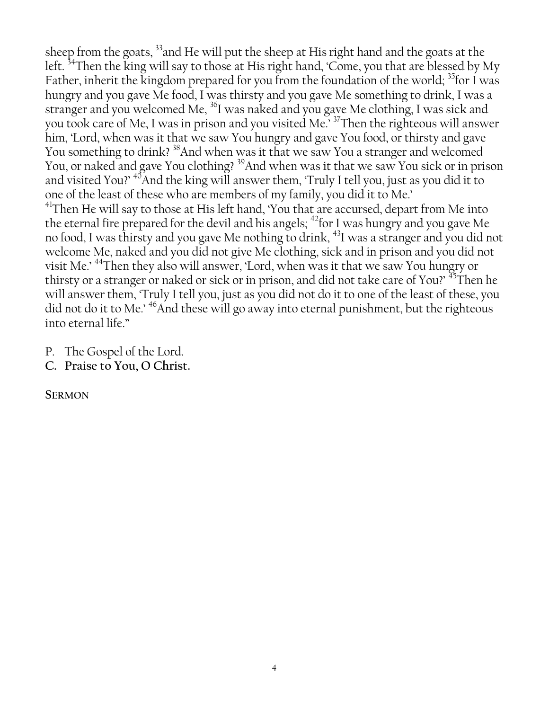sheep from the goats, <sup>33</sup> and He will put the sheep at His right hand and the goats at the left. <sup>34</sup>Then the king will say to those at His right hand, 'Come, you that are blessed by My Father, inherit the kingdom prepared for you from the foundation of the world; <sup>35</sup>for I was hungry and you gave Me food, I was thirsty and you gave Me something to drink, I was a stranger and you welcomed Me, <sup>36</sup>I was naked and you gave Me clothing, I was sick and you took care of Me, I was in prison and you visited Me.' <sup>37</sup>Then the righteous will answer him, 'Lord, when was it that we saw You hungry and gave You food, or thirsty and gave You something to drink? <sup>38</sup>And when was it that we saw You a stranger and welcomed You, or naked and gave You clothing? <sup>39</sup>And when was it that we saw You sick or in prison and visited You?'  $\rm ^{40}$ And the king will answer them, 'Truly I tell you, just as you did it to one of the least of these who are members of my family, you did it to Me.'  $^{41}$ Then He will say to those at His left hand, 'You that are accursed, depart from Me into the eternal fire prepared for the devil and his angels;  $^{42}$  for I was hungry and you gave Me no food, I was thirsty and you gave Me nothing to drink, <sup>43</sup>I was a stranger and you did not welcome Me, naked and you did not give Me clothing, sick and in prison and you did not visit Me.' <sup>44</sup>Then they also will answer, 'Lord, when was it that we saw You hungry or thirsty or a stranger or naked or sick or in prison, and did not take care of You?' <sup>45</sup>Then he will answer them, 'Truly I tell you, just as you did not do it to one of the least of these, you did not do it to Me.' <sup>46</sup>And these will go away into eternal punishment, but the righteous

P. The Gospel of the Lord.

into eternal life."

**C. Praise to You, O Christ.**

**SERMON**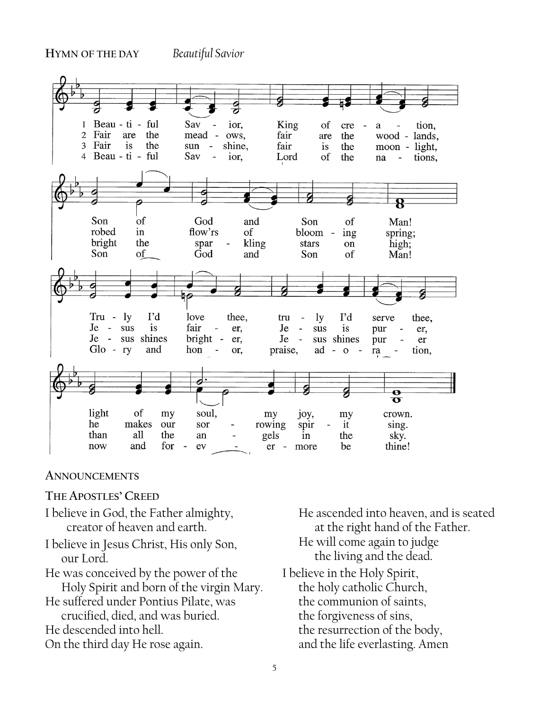

#### **ANNOUNCEMENTS**

#### **THE APOSTLES' CREED**

- I believe in God, the Father almighty, creator of heaven and earth.
- I believe in Jesus Christ, His only Son, our Lord.
- He was conceived by the power of the Holy Spirit and born of the virgin Mary.
- He suffered under Pontius Pilate, was crucified, died, and was buried.
- He descended into hell.
- On the third day He rose again. .

He ascended into heaven, and is seated at the right hand of the Father. He will come again to judge the living and the dead. I believe in the Holy Spirit, the holy catholic Church, the communion of saints,

the forgiveness of sins, the resurrection of the body, and the life everlasting. Amen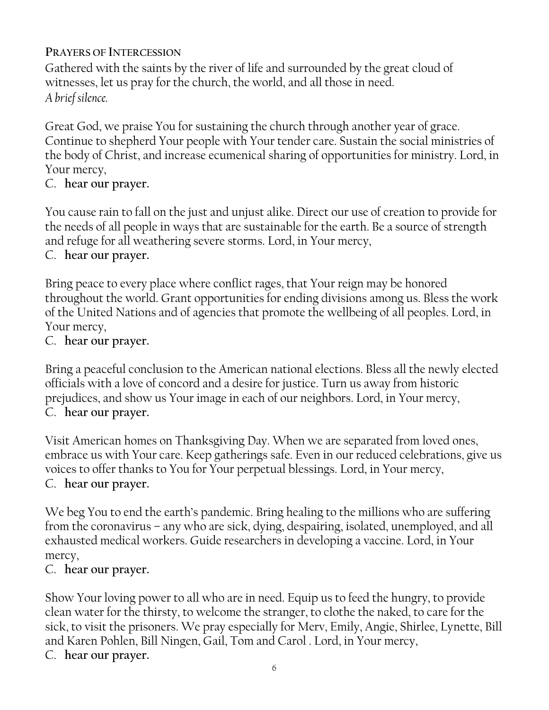**PRAYERS OF INTERCESSION**

Gathered with the saints by the river of life and surrounded by the great cloud of witnesses, let us pray for the church, the world, and all those in need. *A brief silence.*

Great God, we praise You for sustaining the church through another year of grace. Continue to shepherd Your people with Your tender care. Sustain the social ministries of the body of Christ, and increase ecumenical sharing of opportunities for ministry. Lord, in Your mercy,

# C. **hear our prayer.**

You cause rain to fall on the just and unjust alike. Direct our use of creation to provide for the needs of all people in ways that are sustainable for the earth. Be a source of strength and refuge for all weathering severe storms. Lord, in Your mercy,

# C. **hear our prayer.**

Bring peace to every place where conflict rages, that Your reign may be honored throughout the world. Grant opportunities for ending divisions among us. Bless the work of the United Nations and of agencies that promote the wellbeing of all peoples. Lord, in Your mercy,

C. **hear our prayer.**

Bring a peaceful conclusion to the American national elections. Bless all the newly elected officials with a love of concord and a desire for justice. Turn us away from historic prejudices, and show us Your image in each of our neighbors. Lord, in Your mercy, C. **hear our prayer.**

Visit American homes on Thanksgiving Day. When we are separated from loved ones, embrace us with Your care. Keep gatherings safe. Even in our reduced celebrations, give us voices to offer thanks to You for Your perpetual blessings. Lord, in Your mercy, C. **hear our prayer.**

We beg You to end the earth's pandemic. Bring healing to the millions who are suffering from the coronavirus – any who are sick, dying, despairing, isolated, unemployed, and all exhausted medical workers. Guide researchers in developing a vaccine. Lord, in Your mercy,

# C. **hear our prayer.**

Show Your loving power to all who are in need. Equip us to feed the hungry, to provide clean water for the thirsty, to welcome the stranger, to clothe the naked, to care for the sick, to visit the prisoners. We pray especially for Merv, Emily, Angie, Shirlee, Lynette, Bill and Karen Pohlen, Bill Ningen, Gail, Tom and Carol . Lord, in Your mercy, C. **hear our prayer.**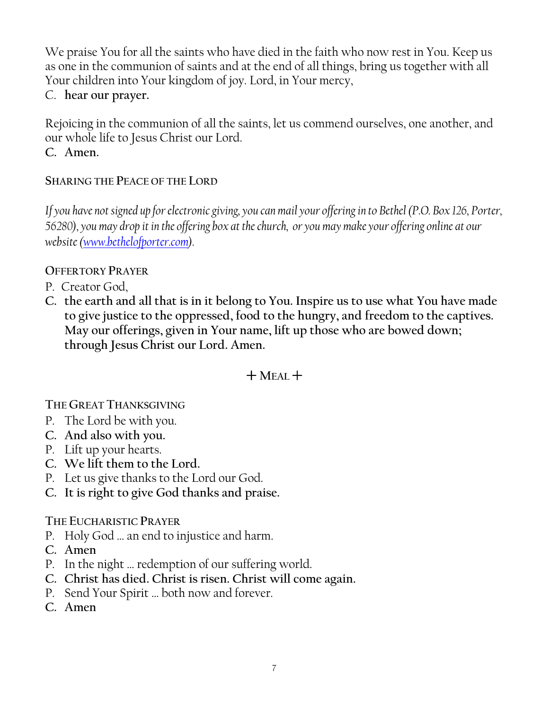We praise You for all the saints who have died in the faith who now rest in You. Keep us as one in the communion of saints and at the end of all things, bring us together with all Your children into Your kingdom of joy. Lord, in Your mercy,

# C. **hear our prayer.**

Rejoicing in the communion of all the saints, let us commend ourselves, one another, and our whole life to Jesus Christ our Lord. **C. Amen.**

## **SHARING THE PEACE OF THE LORD**

*If you have not signed up for electronic giving, you can mail your offering in to Bethel (P.O. Box 126, Porter, 56280), you may drop it in the offering box at the church, or you may make your offering online at our website [\(www.bethelofporter.com\)](http://www.bethelofporter.com/).* 

## **OFFERTORY PRAYER**

- P. Creator God,
- **C. the earth and all that is in it belong to You. Inspire us to use what You have made to give justice to the oppressed, food to the hungry, and freedom to the captives. May our offerings, given in Your name, lift up those who are bowed down; through Jesus Christ our Lord. Amen.**

# $+$ **MEAL** $+$

**THE GREAT THANKSGIVING** 

- P. The Lord be with you.
- **C. And also with you.**
- P. Lift up your hearts.
- **C. We lift them to the Lord.**
- P. Let us give thanks to the Lord our God.
- **C. It is right to give God thanks and praise.**

# **THE EUCHARISTIC PRAYER**

- P. Holy God … an end to injustice and harm.
- **C. Amen**
- P. In the night … redemption of our suffering world.
- **C. Christ has died. Christ is risen. Christ will come again.**
- P. Send Your Spirit … both now and forever.
- **C. Amen**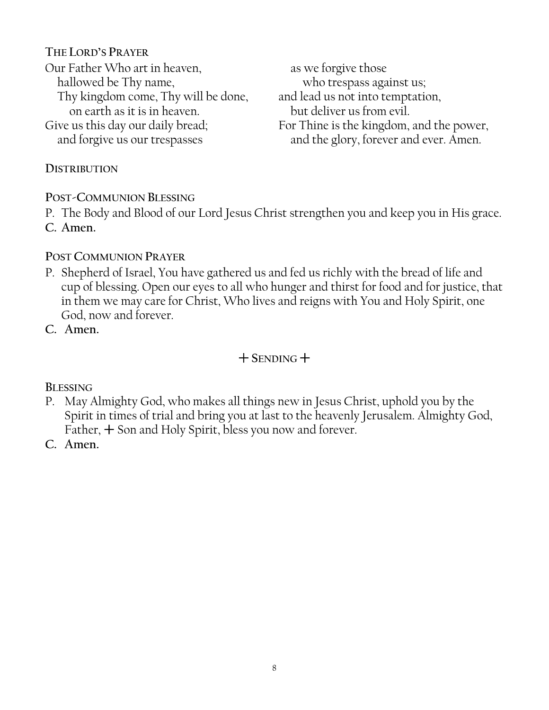### **THE LORD'S PRAYER**

Our Father Who art in heaven, hallowed be Thy name, Thy kingdom come, Thy will be done, on earth as it is in heaven. Give us this day our daily bread;

and forgive us our trespasses

as we forgive those who trespass against us; and lead us not into temptation, but deliver us from evil. For Thine is the kingdom, and the power, and the glory, forever and ever. Amen.

#### **DISTRIBUTION**

**POST-COMMUNION BLESSING**

P. The Body and Blood of our Lord Jesus Christ strengthen you and keep you in His grace. **C. Amen.**

### **POST COMMUNION PRAYER**

P. Shepherd of Israel, You have gathered us and fed us richly with the bread of life and cup of blessing. Open our eyes to all who hunger and thirst for food and for justice, that in them we may care for Christ, Who lives and reigns with You and Holy Spirit, one God, now and forever.

**C. Amen.**

# $+$  SENDING  $+$

**BLESSING**

- P. May Almighty God, who makes all things new in Jesus Christ, uphold you by the Spirit in times of trial and bring you at last to the heavenly Jerusalem. Almighty God, Father,  $+$  Son and Holy Spirit, bless you now and forever.
- **C. Amen.**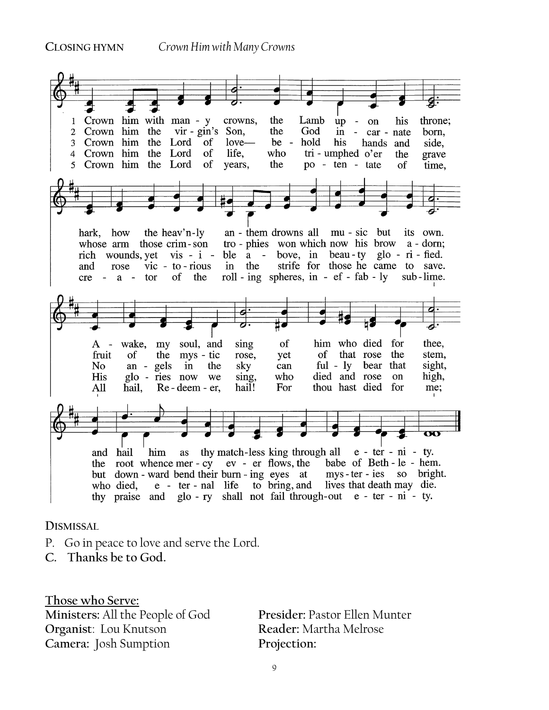

**DISMISSAL** 

- P. Go in peace to love and serve the Lord.
- **C. Thanks be to God.**

**Those who Serve: Ministers:** All the People of God **Presider:** Pastor Ellen Munter **Organist**: Lou Knutson **Reader:** Martha Melrose **Camera:** Josh Sumption **Projection:**